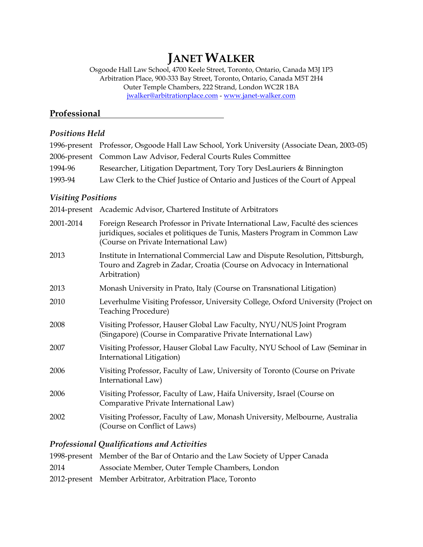# **JANET WALKER**

Osgoode Hall Law School, 4700 Keele Street, Toronto, Ontario, Canada M3J 1P3 Arbitration Place, 900-333 Bay Street, Toronto, Ontario, Canada M5T 2H4 Outer Temple Chambers, 222 Strand, London WC2R 1BA [jwalker@arbitrationplace.com](mailto:jwalker@arbitrationplace.com) - [www.janet-walker.com](http://www.janet-walker.com/)

## **Professional**

#### *Positions Held*

|         | 1996-present Professor, Osgoode Hall Law School, York University (Associate Dean, 2003-05) |
|---------|--------------------------------------------------------------------------------------------|
|         | 2006-present Common Law Advisor, Federal Courts Rules Committee                            |
| 1994-96 | Researcher, Litigation Department, Tory Tory DesLauriers & Binnington                      |
| 1993-94 | Law Clerk to the Chief Justice of Ontario and Justices of the Court of Appeal              |

#### *Visiting Positions*

|           | 2014-present Academic Advisor, Chartered Institute of Arbitrators                                                                                                                                    |
|-----------|------------------------------------------------------------------------------------------------------------------------------------------------------------------------------------------------------|
| 2001-2014 | Foreign Research Professor in Private International Law, Faculté des sciences<br>juridiques, sociales et politiques de Tunis, Masters Program in Common Law<br>(Course on Private International Law) |
| 2013      | Institute in International Commercial Law and Dispute Resolution, Pittsburgh,<br>Touro and Zagreb in Zadar, Croatia (Course on Advocacy in International<br>Arbitration)                             |
| 2013      | Monash University in Prato, Italy (Course on Transnational Litigation)                                                                                                                               |
| 2010      | Leverhulme Visiting Professor, University College, Oxford University (Project on<br><b>Teaching Procedure)</b>                                                                                       |
| 2008      | Visiting Professor, Hauser Global Law Faculty, NYU/NUS Joint Program<br>(Singapore) (Course in Comparative Private International Law)                                                                |
| 2007      | Visiting Professor, Hauser Global Law Faculty, NYU School of Law (Seminar in<br>International Litigation)                                                                                            |
| 2006      | Visiting Professor, Faculty of Law, University of Toronto (Course on Private<br>International Law)                                                                                                   |
| 2006      | Visiting Professor, Faculty of Law, Haifa University, Israel (Course on<br>Comparative Private International Law)                                                                                    |
| 2002      | Visiting Professor, Faculty of Law, Monash University, Melbourne, Australia<br>(Course on Conflict of Laws)                                                                                          |
|           |                                                                                                                                                                                                      |

### *Professional Qualifications and Activities*

|      | 1998-present Member of the Bar of Ontario and the Law Society of Upper Canada |
|------|-------------------------------------------------------------------------------|
| 2014 | Associate Member, Outer Temple Chambers, London                               |
|      | 2012-present Member Arbitrator, Arbitration Place, Toronto                    |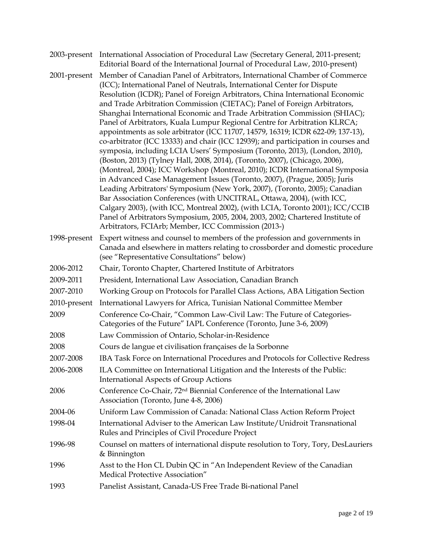|              | 2003-present International Association of Procedural Law (Secretary General, 2011-present;<br>Editorial Board of the International Journal of Procedural Law, 2010-present)                                                                                                                                                                                                                                                                                                                                                                                                                                                                                                                                                                                                                                                                                                                                                                                                                                                                                                                                                                                                                                                                                                                                                                                      |
|--------------|------------------------------------------------------------------------------------------------------------------------------------------------------------------------------------------------------------------------------------------------------------------------------------------------------------------------------------------------------------------------------------------------------------------------------------------------------------------------------------------------------------------------------------------------------------------------------------------------------------------------------------------------------------------------------------------------------------------------------------------------------------------------------------------------------------------------------------------------------------------------------------------------------------------------------------------------------------------------------------------------------------------------------------------------------------------------------------------------------------------------------------------------------------------------------------------------------------------------------------------------------------------------------------------------------------------------------------------------------------------|
| 2001-present | Member of Canadian Panel of Arbitrators, International Chamber of Commerce<br>(ICC); International Panel of Neutrals, International Center for Dispute<br>Resolution (ICDR); Panel of Foreign Arbitrators, China International Economic<br>and Trade Arbitration Commission (CIETAC); Panel of Foreign Arbitrators,<br>Shanghai International Economic and Trade Arbitration Commission (SHIAC);<br>Panel of Arbitrators, Kuala Lumpur Regional Centre for Arbitration KLRCA;<br>appointments as sole arbitrator (ICC 11707, 14579, 16319; ICDR 622-09; 137-13),<br>co-arbitrator (ICC 13333) and chair (ICC 12939); and participation in courses and<br>symposia, including LCIA Users' Symposium (Toronto, 2013), (London, 2010),<br>(Boston, 2013) (Tylney Hall, 2008, 2014), (Toronto, 2007), (Chicago, 2006),<br>(Montreal, 2004); ICC Workshop (Montreal, 2010); ICDR International Symposia<br>in Advanced Case Management Issues (Toronto, 2007), (Prague, 2005); Juris<br>Leading Arbitrators' Symposium (New York, 2007), (Toronto, 2005); Canadian<br>Bar Association Conferences (with UNCITRAL, Ottawa, 2004), (with ICC,<br>Calgary 2003), (with ICC, Montreal 2002), (with LCIA, Toronto 2001); ICC/CCIB<br>Panel of Arbitrators Symposium, 2005, 2004, 2003, 2002; Chartered Institute of<br>Arbitrators, FCIArb; Member, ICC Commission (2013-) |
| 1998-present | Expert witness and counsel to members of the profession and governments in<br>Canada and elsewhere in matters relating to crossborder and domestic procedure<br>(see "Representative Consultations" below)                                                                                                                                                                                                                                                                                                                                                                                                                                                                                                                                                                                                                                                                                                                                                                                                                                                                                                                                                                                                                                                                                                                                                       |
| 2006-2012    | Chair, Toronto Chapter, Chartered Institute of Arbitrators                                                                                                                                                                                                                                                                                                                                                                                                                                                                                                                                                                                                                                                                                                                                                                                                                                                                                                                                                                                                                                                                                                                                                                                                                                                                                                       |
| 2009-2011    | President, International Law Association, Canadian Branch                                                                                                                                                                                                                                                                                                                                                                                                                                                                                                                                                                                                                                                                                                                                                                                                                                                                                                                                                                                                                                                                                                                                                                                                                                                                                                        |
| 2007-2010    | Working Group on Protocols for Parallel Class Actions, ABA Litigation Section                                                                                                                                                                                                                                                                                                                                                                                                                                                                                                                                                                                                                                                                                                                                                                                                                                                                                                                                                                                                                                                                                                                                                                                                                                                                                    |
| 2010-present | International Lawyers for Africa, Tunisian National Committee Member                                                                                                                                                                                                                                                                                                                                                                                                                                                                                                                                                                                                                                                                                                                                                                                                                                                                                                                                                                                                                                                                                                                                                                                                                                                                                             |
| 2009         | Conference Co-Chair, "Common Law-Civil Law: The Future of Categories-<br>Categories of the Future" IAPL Conference (Toronto, June 3-6, 2009)                                                                                                                                                                                                                                                                                                                                                                                                                                                                                                                                                                                                                                                                                                                                                                                                                                                                                                                                                                                                                                                                                                                                                                                                                     |
| 2008         | Law Commission of Ontario, Scholar-in-Residence                                                                                                                                                                                                                                                                                                                                                                                                                                                                                                                                                                                                                                                                                                                                                                                                                                                                                                                                                                                                                                                                                                                                                                                                                                                                                                                  |
| 2008         | Cours de langue et civilisation françaises de la Sorbonne                                                                                                                                                                                                                                                                                                                                                                                                                                                                                                                                                                                                                                                                                                                                                                                                                                                                                                                                                                                                                                                                                                                                                                                                                                                                                                        |
| 2007-2008    | IBA Task Force on International Procedures and Protocols for Collective Redress                                                                                                                                                                                                                                                                                                                                                                                                                                                                                                                                                                                                                                                                                                                                                                                                                                                                                                                                                                                                                                                                                                                                                                                                                                                                                  |
| 2006-2008    | ILA Committee on International Litigation and the Interests of the Public:<br><b>International Aspects of Group Actions</b>                                                                                                                                                                                                                                                                                                                                                                                                                                                                                                                                                                                                                                                                                                                                                                                                                                                                                                                                                                                                                                                                                                                                                                                                                                      |
| 2006         | Conference Co-Chair, 72 <sup>nd</sup> Biennial Conference of the International Law<br>Association (Toronto, June 4-8, 2006)                                                                                                                                                                                                                                                                                                                                                                                                                                                                                                                                                                                                                                                                                                                                                                                                                                                                                                                                                                                                                                                                                                                                                                                                                                      |
| 2004-06      | Uniform Law Commission of Canada: National Class Action Reform Project                                                                                                                                                                                                                                                                                                                                                                                                                                                                                                                                                                                                                                                                                                                                                                                                                                                                                                                                                                                                                                                                                                                                                                                                                                                                                           |
| 1998-04      | International Adviser to the American Law Institute/Unidroit Transnational<br>Rules and Principles of Civil Procedure Project                                                                                                                                                                                                                                                                                                                                                                                                                                                                                                                                                                                                                                                                                                                                                                                                                                                                                                                                                                                                                                                                                                                                                                                                                                    |
| 1996-98      | Counsel on matters of international dispute resolution to Tory, Tory, DesLauriers<br>& Binnington                                                                                                                                                                                                                                                                                                                                                                                                                                                                                                                                                                                                                                                                                                                                                                                                                                                                                                                                                                                                                                                                                                                                                                                                                                                                |
| 1996         | Asst to the Hon CL Dubin QC in "An Independent Review of the Canadian<br>Medical Protective Association"                                                                                                                                                                                                                                                                                                                                                                                                                                                                                                                                                                                                                                                                                                                                                                                                                                                                                                                                                                                                                                                                                                                                                                                                                                                         |
| 1993         | Panelist Assistant, Canada-US Free Trade Bi-national Panel                                                                                                                                                                                                                                                                                                                                                                                                                                                                                                                                                                                                                                                                                                                                                                                                                                                                                                                                                                                                                                                                                                                                                                                                                                                                                                       |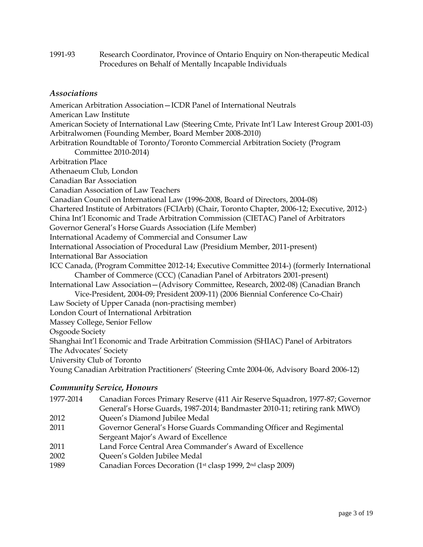1991-93 Research Coordinator, Province of Ontario Enquiry on Non-therapeutic Medical Procedures on Behalf of Mentally Incapable Individuals

#### *Associations*

American Arbitration Association—ICDR Panel of International Neutrals American Law Institute American Society of International Law (Steering Cmte, Private Int'l Law Interest Group 2001-03) Arbitralwomen (Founding Member, Board Member 2008-2010) Arbitration Roundtable of Toronto/Toronto Commercial Arbitration Society (Program Committee 2010-2014) Arbitration Place Athenaeum Club, London Canadian Bar Association Canadian Association of Law Teachers Canadian Council on International Law (1996-2008, Board of Directors, 2004-08) Chartered Institute of Arbitrators (FCIArb) (Chair, Toronto Chapter, 2006-12; Executive, 2012-) China Int'l Economic and Trade Arbitration Commission (CIETAC) Panel of Arbitrators Governor General's Horse Guards Association (Life Member) International Academy of Commercial and Consumer Law International Association of Procedural Law (Presidium Member, 2011-present) International Bar Association ICC Canada, (Program Committee 2012-14; Executive Committee 2014-) (formerly International Chamber of Commerce (CCC) (Canadian Panel of Arbitrators 2001-present) International Law Association—(Advisory Committee, Research, 2002-08) (Canadian Branch Vice-President, 2004-09; President 2009-11) (2006 Biennial Conference Co-Chair) Law Society of Upper Canada (non-practising member) London Court of International Arbitration Massey College, Senior Fellow Osgoode Society Shanghai Int'l Economic and Trade Arbitration Commission (SHIAC) Panel of Arbitrators The Advocates' Society University Club of Toronto Young Canadian Arbitration Practitioners' (Steering Cmte 2004-06, Advisory Board 2006-12)

#### *Community Service, Honours*

1977-2014 Canadian Forces Primary Reserve (411 Air Reserve Squadron, 1977-87; Governor General's Horse Guards, 1987-2014; Bandmaster 2010-11; retiring rank MWO) Queen's Diamond Jubilee Medal Governor General's Horse Guards Commanding Officer and Regimental Sergeant Major's Award of Excellence Land Force Central Area Commander's Award of Excellence Queen's Golden Jubilee Medal Canadian Forces Decoration (1st clasp 1999, 2nd clasp 2009)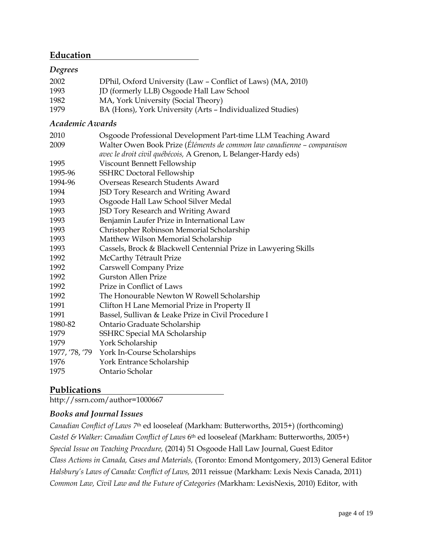## **Education**

#### *Degrees*

| 2002 | DPhil, Oxford University (Law - Conflict of Laws) (MA, 2010) |
|------|--------------------------------------------------------------|
| 1993 | JD (formerly LLB) Osgoode Hall Law School                    |
| 1982 | MA, York University (Social Theory)                          |
| 1979 | BA (Hons), York University (Arts - Individualized Studies)   |

#### *Academic Awards*

| 2010    | Osgoode Professional Development Part-time LLM Teaching Award           |
|---------|-------------------------------------------------------------------------|
| 2009    | Walter Owen Book Prize (Éléments de common law canadienne - comparaison |
|         | avec le droit civil québécois, A Grenon, L Belanger-Hardy eds)          |
| 1995    | Viscount Bennett Fellowship                                             |
| 1995-96 | <b>SSHRC</b> Doctoral Fellowship                                        |
| 1994-96 | Overseas Research Students Award                                        |
| 1994    | JSD Tory Research and Writing Award                                     |
| 1993    | Osgoode Hall Law School Silver Medal                                    |
| 1993    | JSD Tory Research and Writing Award                                     |
| 1993    | Benjamin Laufer Prize in International Law                              |
| 1993    | Christopher Robinson Memorial Scholarship                               |
| 1993    | Matthew Wilson Memorial Scholarship                                     |
| 1993    | Cassels, Brock & Blackwell Centennial Prize in Lawyering Skills         |
| 1992    | McCarthy Tétrault Prize                                                 |
| 1992    | <b>Carswell Company Prize</b>                                           |
| 1992    | <b>Gurston Allen Prize</b>                                              |
| 1992    | Prize in Conflict of Laws                                               |
| 1992    | The Honourable Newton W Rowell Scholarship                              |
| 1991    | Clifton H Lane Memorial Prize in Property II                            |
| 1991    | Bassel, Sullivan & Leake Prize in Civil Procedure I                     |
| 1980-82 | Ontario Graduate Scholarship                                            |
| 1979    | SSHRC Special MA Scholarship                                            |
| 1979    | York Scholarship                                                        |
|         | 1977, '78, '79 York In-Course Scholarships                              |
| 1976    | York Entrance Scholarship                                               |
| 1975    | Ontario Scholar                                                         |

## **Publications**

http://ssrn.com/author=1000667

## *Books and Journal Issues*

*Canadian Conflict of Laws 7*th ed looseleaf (Markham: Butterworths, 2015+) (forthcoming) *Castel & Walker: Canadian Conflict of Laws* 6th ed looseleaf (Markham: Butterworths, 2005+) *Special Issue on Teaching Procedure,* (2014) 51 Osgoode Hall Law Journal, Guest Editor *Class Actions in Canada, Cases and Materials,* (Toronto: Emond Montgomery, 2013) General Editor *Halsbury's Laws of Canada: Conflict of Laws,* 2011 reissue (Markham: Lexis Nexis Canada, 2011) *Common Law, Civil Law and the Future of Categories (*Markham: LexisNexis, 2010) Editor, with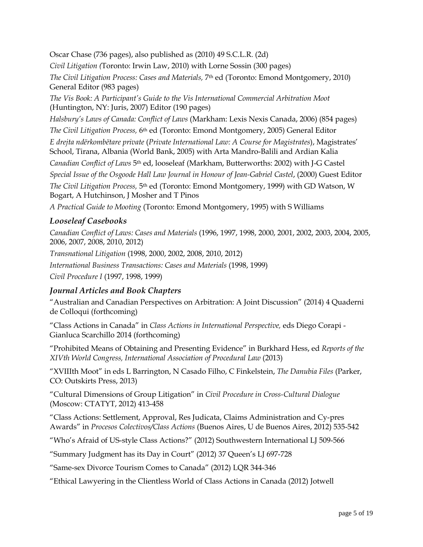Oscar Chase (736 pages), also published as (2010) 49 S.C.L.R. (2d) *Civil Litigation (*Toronto: Irwin Law, 2010) with Lorne Sossin (300 pages) *The Civil Litigation Process: Cases and Materials, 7th ed (Toronto: Emond Montgomery, 2010)* General Editor (983 pages) *The Vis Book: A Participant's Guide to the Vis International Commercial Arbitration Moot*  (Huntington, NY: Juris, 2007) Editor (190 pages) *Halsbury's Laws of Canada: Conflict of Laws* (Markham: Lexis Nexis Canada, 2006) (854 pages) *The Civil Litigation Process,* 6th ed (Toronto: Emond Montgomery, 2005) General Editor *E drejta ndërkombëtare private* (*Private International Law: A Course for Magistrates*), Magistrates' School, Tirana, Albania (World Bank, 2005) with Arta Mandro-Balili and Ardian Kalia *Canadian Conflict of Laws* 5th ed, looseleaf (Markham, Butterworths: 2002) with J-G Castel *Special Issue of the Osgoode Hall Law Journal in Honour of Jean-Gabriel Castel*, (2000) Guest Editor *The Civil Litigation Process,* 5th ed (Toronto: Emond Montgomery, 1999) with GD Watson, W Bogart, A Hutchinson, J Mosher and T Pinos

*A Practical Guide to Mooting* (Toronto: Emond Montgomery, 1995) with S Williams

#### *Looseleaf Casebooks*

*Canadian Conflict of Laws: Cases and Materials* (1996, 1997, 1998, 2000, 2001, 2002, 2003, 2004, 2005, 2006, 2007, 2008, 2010, 2012)

*Transnational Litigation* (1998, 2000, 2002, 2008, 2010, 2012) *International Business Transactions: Cases and Materials* (1998, 1999) *Civil Procedure I* (1997, 1998, 1999)

#### *Journal Articles and Book Chapters*

"Australian and Canadian Perspectives on Arbitration: A Joint Discussion" (2014) 4 Quaderni de Colloqui (forthcoming)

"Class Actions in Canada" in *Class Actions in International Perspective,* eds Diego Corapi - Gianluca Scarchillo 2014 (forthcoming)

"Prohibited Means of Obtaining and Presenting Evidence" in Burkhard Hess, ed *Reports of the XIVth World Congress, International Association of Procedural Law* (2013)

"XVIIIth Moot" in eds L Barrington, N Casado Filho, C Finkelstein, *The Danubia Files* (Parker, CO: Outskirts Press, 2013)

"Cultural Dimensions of Group Litigation" in *Civil Procedure in Cross-Cultural Dialogue*  (Moscow: CTATYT, 2012) 413-458

"Class Actions: Settlement, Approval, Res Judicata, Claims Administration and Cy-pres Awards" in *Procesos Colectivos/Class Actions* (Buenos Aires, U de Buenos Aires, 2012) 535-542

"Who's Afraid of US-style Class Actions?" (2012) Southwestern International LJ 509-566

"Summary Judgment has its Day in Court" (2012) 37 Queen's LJ 697-728

"Same-sex Divorce Tourism Comes to Canada" (2012) LQR 344-346

"Ethical Lawyering in the Clientless World of Class Actions in Canada (2012) Jotwell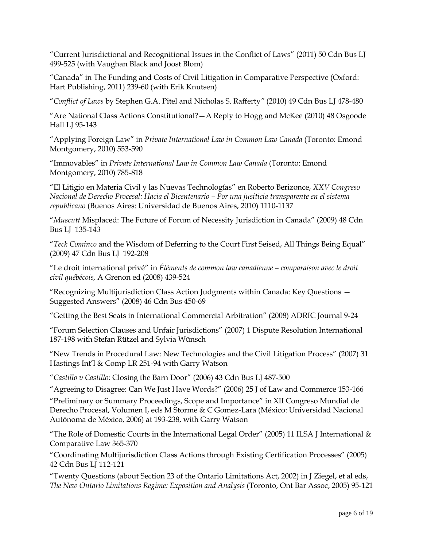"Current Jurisdictional and Recognitional Issues in the Conflict of Laws" (2011) 50 Cdn Bus LJ 499-525 (with Vaughan Black and Joost Blom)

"Canada" in The Funding and Costs of Civil Litigation in Comparative Perspective (Oxford: Hart Publishing, 2011) 239-60 (with Erik Knutsen)

"*Conflict of Laws* by Stephen G.A. Pitel and Nicholas S. Rafferty*"* (2010) 49 Cdn Bus LJ 478-480

"Are National Class Actions Constitutional?—A Reply to Hogg and McKee (2010) 48 Osgoode Hall LJ 95-143

"Applying Foreign Law" in *Private International Law in Common Law Canada* (Toronto: Emond Montgomery, 2010) 553-590

"Immovables" in *Private International Law in Common Law Canada* (Toronto: Emond Montgomery, 2010) 785-818

"El Litigio en Materia Civil y las Nuevas Technologías" en Roberto Berizonce, *XXV Congreso Nacional de Derecho Procesal: Hacia el Bicentenario – Por una jusiticia transparente en el sistema republicano* (Buenos Aires: Universidad de Buenos Aires, 2010) 1110-1137

"*Muscutt* Misplaced: The Future of Forum of Necessity Jurisdiction in Canada" (2009) 48 Cdn Bus LJ 135-143

"*Teck Cominco* and the Wisdom of Deferring to the Court First Seised, All Things Being Equal" (2009) 47 Cdn Bus LJ 192-208

"Le droit international privé" in *Éléments de common law canadienne – comparaison avec le droit civil québécois,* A Grenon ed (2008) 439-524

"Recognizing Multijurisdiction Class Action Judgments within Canada: Key Questions — Suggested Answers" (2008) 46 Cdn Bus 450-69

"Getting the Best Seats in International Commercial Arbitration" (2008) ADRIC Journal 9-24

"Forum Selection Clauses and Unfair Jurisdictions" (2007) 1 Dispute Resolution International 187-198 with Stefan Rützel and Sylvia Wünsch

"New Trends in Procedural Law: New Technologies and the Civil Litigation Process" (2007) 31 Hastings Int'l & Comp LR 251-94 with Garry Watson

"*Castillo v Castillo:* Closing the Barn Door" (2006) 43 Cdn Bus LJ 487-500

"Agreeing to Disagree: Can We Just Have Words?" (2006) 25 J of Law and Commerce 153-166

"Preliminary or Summary Proceedings, Scope and Importance" in XII Congreso Mundial de Derecho Procesal, Volumen I, eds M Storme & C Gomez-Lara (México: Universidad Nacional Autónoma de México, 2006) at 193-238, with Garry Watson

"The Role of Domestic Courts in the International Legal Order" (2005) 11 ILSA J International & Comparative Law 365-370

"Coordinating Multijurisdiction Class Actions through Existing Certification Processes" (2005) 42 Cdn Bus LJ 112-121

"Twenty Questions (about Section 23 of the Ontario Limitations Act, 2002) in J Ziegel, et al eds, *The New Ontario Limitations Regime: Exposition and Analysis* (Toronto, Ont Bar Assoc, 2005) 95-121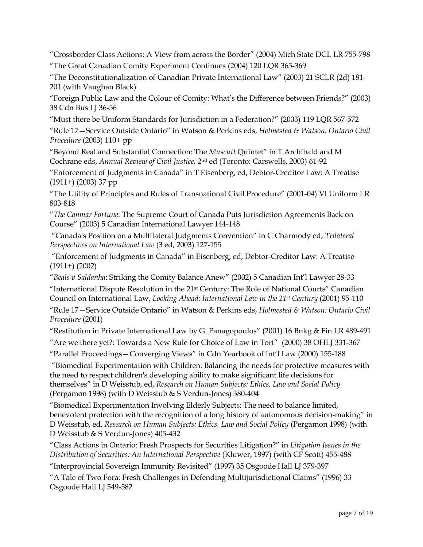"Crossborder Class Actions: A View from across the Border" (2004) Mich State DCL LR 755-798 "The Great Canadian Comity Experiment Continues (2004) 120 LQR 365-369

"The Deconstitutionalization of Canadian Private International Law" (2003) 21 SCLR (2d) 181- 201 (with Vaughan Black)

"Foreign Public Law and the Colour of Comity: What's the Difference between Friends?" (2003) 38 Cdn Bus LJ 36-56

"Must there be Uniform Standards for Jurisdiction in a Federation?" (2003) 119 LQR 567-572

"Rule 17—Service Outside Ontario" in Watson & Perkins eds, *Holmested & Watson: Ontario Civil Procedure* (2003) 110+ pp

"Beyond Real and Substantial Connection: The *Muscutt* Quintet" in T Archibald and M Cochrane eds, *Annual Review of Civil Justice,* 2nd ed (Toronto: Carswells, 2003) 61-92

"Enforcement of Judgments in Canada" in T Eisenberg, ed, Debtor-Creditor Law: A Treatise (1911+) (2003) 37 pp

"The Utility of Principles and Rules of Transnational Civil Procedure" (2001-04) VI Uniform LR 803-818

"*The Canmar Fortune*: The Supreme Court of Canada Puts Jurisdiction Agreements Back on Course" (2003) 5 Canadian International Lawyer 144-148

"Canada's Position on a Multilateral Judgments Convention" in C Charmody ed, *Trilateral Perspectives on International Law* (3 ed, 2003) 127-155

"Enforcement of Judgments in Canada" in Eisenberg, ed, Debtor-Creditor Law: A Treatise (1911+) (2002)

"*Beals v Saldanha*: Striking the Comity Balance Anew" (2002) 5 Canadian Int'l Lawyer 28-33

"International Dispute Resolution in the 21st Century: The Role of National Courts" Canadian Council on International Law, *Looking Ahead: International Law in the 21st Century* (2001) 95-110

"Rule 17—Service Outside Ontario" in Watson & Perkins eds, *Holmested & Watson: Ontario Civil Procedure* (2001)

"Restitution in Private International Law by G. Panagopoulos" (2001) 16 Bnkg & Fin LR 489-491

"Are we there yet?: Towards a New Rule for Choice of Law in Tort" (2000) 38 OHLJ 331-367

"Parallel Proceedings—Converging Views" in Cdn Yearbook of Int'l Law (2000) 155-188

"Biomedical Experimentation with Children: Balancing the needs for protective measures with the need to respect children's developing ability to make significant life decisions for themselves" in D Weisstub, ed, *Research on Human Subjects: Ethics, Law and Social Policy* (Pergamon 1998) (with D Weisstub & S Verdun-Jones) 380-404

"Biomedical Experimentation Involving Elderly Subjects: The need to balance limited, benevolent protection with the recognition of a long history of autonomous decision-making" in D Weisstub, ed, *Research on Human Subjects: Ethics, Law and Social Policy* (Pergamon 1998) (with D Weisstub & S Verdun-Jones) 405-432

"Class Actions in Ontario: Fresh Prospects for Securities Litigation?" in *Litigation Issues in the Distribution of Securities: An International Perspective* (Kluwer, 1997) (with CF Scott) 455-488

"Interprovincial Sovereign Immunity Revisited" (1997) 35 Osgoode Hall LJ 379-397

"A Tale of Two Fora: Fresh Challenges in Defending Multijurisdictional Claims" (1996) 33 Osgoode Hall LJ 549-582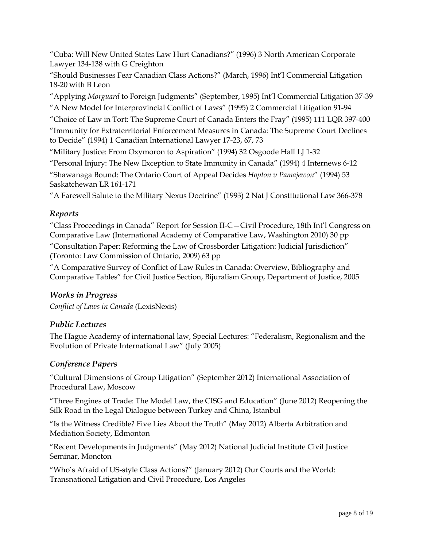"Cuba: Will New United States Law Hurt Canadians?" (1996) 3 North American Corporate Lawyer 134-138 with G Creighton

"Should Businesses Fear Canadian Class Actions?" (March, 1996) Int'l Commercial Litigation 18-20 with B Leon

"Applying *Morguard* to Foreign Judgments" (September, 1995) Int'l Commercial Litigation 37-39

"A New Model for Interprovincial Conflict of Laws" (1995) 2 Commercial Litigation 91-94

"Choice of Law in Tort: The Supreme Court of Canada Enters the Fray" (1995) 111 LQR 397-400

"Immunity for Extraterritorial Enforcement Measures in Canada: The Supreme Court Declines to Decide" (1994) 1 Canadian International Lawyer 17-23, 67, 73

"Military Justice: From Oxymoron to Aspiration" (1994) 32 Osgoode Hall LJ 1-32

"Personal Injury: The New Exception to State Immunity in Canada" (1994) 4 Internews 6-12 "Shawanaga Bound: The Ontario Court of Appeal Decides *Hopton v Pamajewon*" (1994) 53 Saskatchewan LR 161-171

"A Farewell Salute to the Military Nexus Doctrine" (1993) 2 Nat J Constitutional Law 366-378

#### *Reports*

"Class Proceedings in Canada" Report for Session II-C—Civil Procedure, 18th Int'l Congress on Comparative Law (International Academy of Comparative Law, Washington 2010) 30 pp "Consultation Paper: Reforming the Law of Crossborder Litigation: Judicial Jurisdiction" (Toronto: Law Commission of Ontario, 2009) 63 pp

"A Comparative Survey of Conflict of Law Rules in Canada: Overview, Bibliography and Comparative Tables" for Civil Justice Section, Bijuralism Group, Department of Justice, 2005

## *Works in Progress*

*Conflict of Laws in Canada* (LexisNexis)

## *Public Lectures*

The Hague Academy of international law, Special Lectures: "Federalism, Regionalism and the Evolution of Private International Law" (July 2005)

#### *Conference Papers*

"Cultural Dimensions of Group Litigation" (September 2012) International Association of Procedural Law, Moscow

"Three Engines of Trade: The Model Law, the CISG and Education" (June 2012) Reopening the Silk Road in the Legal Dialogue between Turkey and China, Istanbul

"Is the Witness Credible? Five Lies About the Truth" (May 2012) Alberta Arbitration and Mediation Society, Edmonton

"Recent Developments in Judgments" (May 2012) National Judicial Institute Civil Justice Seminar, Moncton

"Who's Afraid of US-style Class Actions?" (January 2012) Our Courts and the World: Transnational Litigation and Civil Procedure, Los Angeles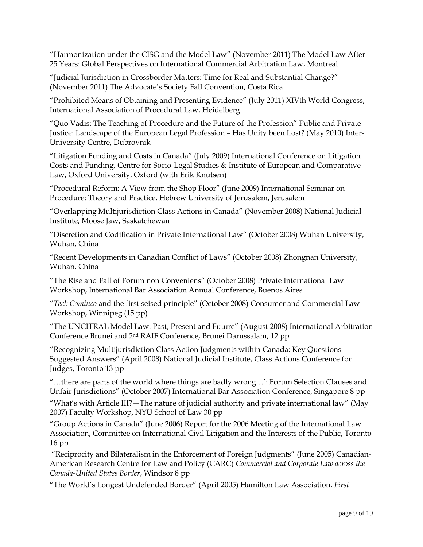"Harmonization under the CISG and the Model Law" (November 2011) The Model Law After 25 Years: Global Perspectives on International Commercial Arbitration Law, Montreal

"Judicial Jurisdiction in Crossborder Matters: Time for Real and Substantial Change?" (November 2011) The Advocate's Society Fall Convention, Costa Rica

"Prohibited Means of Obtaining and Presenting Evidence" (July 2011) XIVth World Congress, International Association of Procedural Law, Heidelberg

"Quo Vadis: The Teaching of Procedure and the Future of the Profession" Public and Private Justice: Landscape of the European Legal Profession – Has Unity been Lost? (May 2010) Inter-University Centre, Dubrovnik

"Litigation Funding and Costs in Canada" (July 2009) International Conference on Litigation Costs and Funding, Centre for Socio-Legal Studies & Institute of European and Comparative Law, Oxford University, Oxford (with Erik Knutsen)

"Procedural Reform: A View from the Shop Floor" (June 2009) International Seminar on Procedure: Theory and Practice, Hebrew University of Jerusalem, Jerusalem

"Overlapping Multijurisdiction Class Actions in Canada" (November 2008) National Judicial Institute, Moose Jaw, Saskatchewan

"Discretion and Codification in Private International Law" (October 2008) Wuhan University, Wuhan, China

"Recent Developments in Canadian Conflict of Laws" (October 2008) Zhongnan University, Wuhan, China

"The Rise and Fall of Forum non Conveniens" (October 2008) Private International Law Workshop, International Bar Association Annual Conference, Buenos Aires

"*Teck Cominco* and the first seised principle" (October 2008) Consumer and Commercial Law Workshop, Winnipeg (15 pp)

"The UNCITRAL Model Law: Past, Present and Future" (August 2008) International Arbitration Conference Brunei and 2nd RAIF Conference, Brunei Darussalam, 12 pp

"Recognizing Multijurisdiction Class Action Judgments within Canada: Key Questions— Suggested Answers" (April 2008) National Judicial Institute, Class Actions Conference for Judges, Toronto 13 pp

"…there are parts of the world where things are badly wrong…': Forum Selection Clauses and Unfair Jurisdictions" (October 2007) International Bar Association Conference, Singapore 8 pp

"What's with Article III?—The nature of judicial authority and private international law" (May 2007) Faculty Workshop, NYU School of Law 30 pp

"Group Actions in Canada" (June 2006) Report for the 2006 Meeting of the International Law Association, Committee on International Civil Litigation and the Interests of the Public, Toronto 16 pp

"Reciprocity and Bilateralism in the Enforcement of Foreign Judgments" (June 2005) Canadian-American Research Centre for Law and Policy (CARC) *Commercial and Corporate Law across the Canada-United States Border*, Windsor 8 pp

"The World's Longest Undefended Border" (April 2005) Hamilton Law Association, *First*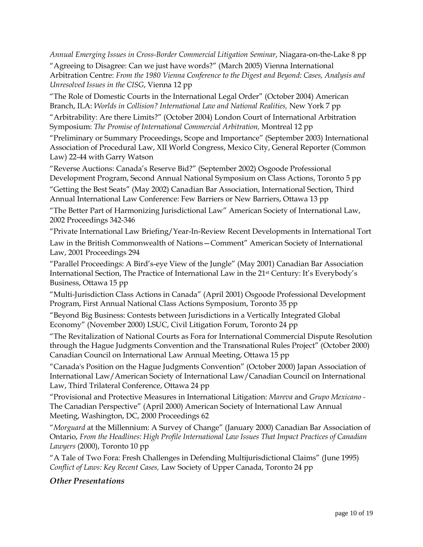*Annual Emerging Issues in Cross-Border Commercial Litigation Seminar*, Niagara-on-the-Lake 8 pp

"Agreeing to Disagree: Can we just have words?" (March 2005) Vienna International Arbitration Centre: *From the 1980 Vienna Conference to the Digest and Beyond: Cases, Analysis and Unresolved Issues in the CISG*, Vienna 12 pp

"The Role of Domestic Courts in the International Legal Order" (October 2004) American Branch, ILA: *Worlds in Collision? International Law and National Realities,* New York 7 pp

"Arbitrability: Are there Limits?" (October 2004) London Court of International Arbitration Symposium: *The Promise of International Commercial Arbitration,* Montreal 12 pp

"Preliminary or Summary Proceedings, Scope and Importance" (September 2003) International Association of Procedural Law, XII World Congress, Mexico City, General Reporter (Common Law) 22-44 with Garry Watson

"Reverse Auctions: Canada's Reserve Bid?" (September 2002) Osgoode Professional Development Program, Second Annual National Symposium on Class Actions, Toronto 5 pp

"Getting the Best Seats" (May 2002) Canadian Bar Association, International Section, Third Annual International Law Conference: Few Barriers or New Barriers, Ottawa 13 pp

"The Better Part of Harmonizing Jurisdictional Law" American Society of International Law, 2002 Proceedings 342-346

"Private International Law Briefing/Year-In-Review Recent Developments in International Tort Law in the British Commonwealth of Nations—Comment" American Society of International Law, 2001 Proceedings 294

"Parallel Proceedings: A Bird's-eye View of the Jungle" (May 2001) Canadian Bar Association International Section, The Practice of International Law in the 21st Century: It's Everybody's Business, Ottawa 15 pp

"Multi-Jurisdiction Class Actions in Canada" (April 2001) Osgoode Professional Development Program, First Annual National Class Actions Symposium, Toronto 35 pp

"Beyond Big Business: Contests between Jurisdictions in a Vertically Integrated Global Economy" (November 2000) LSUC, Civil Litigation Forum, Toronto 24 pp

"The Revitalization of National Courts as Fora for International Commercial Dispute Resolution through the Hague Judgments Convention and the Transnational Rules Project" (October 2000) Canadian Council on International Law Annual Meeting, Ottawa 15 pp

"Canada's Position on the Hague Judgments Convention" (October 2000) Japan Association of International Law/American Society of International Law/Canadian Council on International Law, Third Trilateral Conference, Ottawa 24 pp

"Provisional and Protective Measures in International Litigation: *Mareva* and *Grupo Mexicano -* The Canadian Perspective" (April 2000) American Society of International Law Annual Meeting, Washington, DC, 2000 Proceedings 62

"*Morguard* at the Millennium: A Survey of Change" (January 2000) Canadian Bar Association of Ontario, *From the Headlines: High Profile International Law Issues That Impact Practices of Canadian Lawyers* (2000), Toronto 10 pp

"A Tale of Two Fora: Fresh Challenges in Defending Multijurisdictional Claims" (June 1995) *Conflict of Laws: Key Recent Cases,* Law Society of Upper Canada, Toronto 24 pp

## *Other Presentations*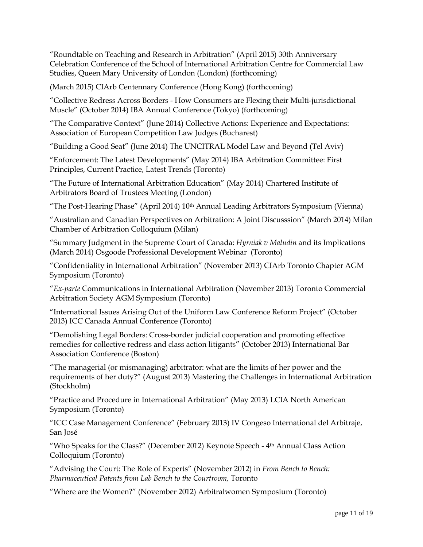"Roundtable on Teaching and Research in Arbitration" (April 2015) 30th Anniversary Celebration Conference of the School of International Arbitration Centre for Commercial Law Studies, Queen Mary University of London (London) (forthcoming)

(March 2015) CIArb Centennary Conference (Hong Kong) (forthcoming)

"Collective Redress Across Borders - How Consumers are Flexing their Multi-jurisdictional Muscle" (October 2014) IBA Annual Conference (Tokyo) (forthcoming)

"The Comparative Context" (June 2014) Collective Actions: Experience and Expectations: Association of European Competition Law Judges (Bucharest)

"Building a Good Seat" (June 2014) The UNCITRAL Model Law and Beyond (Tel Aviv)

"Enforcement: The Latest Developments" (May 2014) IBA Arbitration Committee: First Principles, Current Practice, Latest Trends (Toronto)

"The Future of International Arbitration Education" (May 2014) Chartered Institute of Arbitrators Board of Trustees Meeting (London)

"The Post-Hearing Phase" (April 2014) 10th Annual Leading Arbitrators Symposium (Vienna)

"Australian and Canadian Perspectives on Arbitration: A Joint Discusssion" (March 2014) Milan Chamber of Arbitration Colloquium (Milan)

"Summary Judgment in the Supreme Court of Canada: *Hyrniak v Maludin* and its Implications (March 2014) Osgoode Professional Development Webinar (Toronto)

"Confidentiality in International Arbitration" (November 2013) CIArb Toronto Chapter AGM Symposium (Toronto)

"*Ex-parte* Communications in International Arbitration (November 2013) Toronto Commercial Arbitration Society AGM Symposium (Toronto)

"International Issues Arising Out of the Uniform Law Conference Reform Project" (October 2013) ICC Canada Annual Conference (Toronto)

"Demolishing Legal Borders: Cross-border judicial cooperation and promoting effective remedies for collective redress and class action litigants" (October 2013) International Bar Association Conference (Boston)

"The managerial (or mismanaging) arbitrator: what are the limits of her power and the requirements of her duty?" (August 2013) Mastering the Challenges in International Arbitration (Stockholm)

"Practice and Procedure in International Arbitration" (May 2013) LCIA North American Symposium (Toronto)

"ICC Case Management Conference" (February 2013) IV Congeso International del Arbitraje, San José

"Who Speaks for the Class?" (December 2012) Keynote Speech - 4th Annual Class Action Colloquium (Toronto)

"Advising the Court: The Role of Experts" (November 2012) in *From Bench to Bench: Pharmaceutical Patents from Lab Bench to the Courtroom,* Toronto

"Where are the Women?" (November 2012) Arbitralwomen Symposium (Toronto)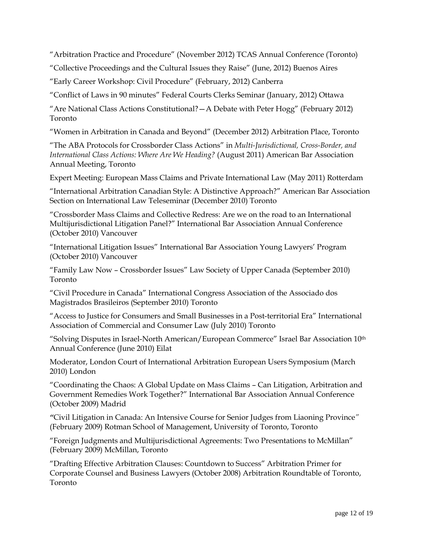"Arbitration Practice and Procedure" (November 2012) TCAS Annual Conference (Toronto)

"Collective Proceedings and the Cultural Issues they Raise" (June, 2012) Buenos Aires

"Early Career Workshop: Civil Procedure" (February, 2012) Canberra

"Conflict of Laws in 90 minutes" Federal Courts Clerks Seminar (January, 2012) Ottawa

"Are National Class Actions Constitutional?—A Debate with Peter Hogg" (February 2012) Toronto

"Women in Arbitration in Canada and Beyond" (December 2012) Arbitration Place, Toronto

"The ABA Protocols for Crossborder Class Actions" in *Multi-Jurisdictional, Cross-Border, and International Class Actions: Where Are We Heading?* (August 2011) American Bar Association Annual Meeting, Toronto

Expert Meeting: European Mass Claims and Private International Law (May 2011) Rotterdam

"International Arbitration Canadian Style: A Distinctive Approach?" American Bar Association Section on International Law Teleseminar (December 2010) Toronto

"Crossborder Mass Claims and Collective Redress: Are we on the road to an International Multijurisdictional Litigation Panel?" International Bar Association Annual Conference (October 2010) Vancouver

"International Litigation Issues" International Bar Association Young Lawyers' Program (October 2010) Vancouver

"Family Law Now – Crossborder Issues" Law Society of Upper Canada (September 2010) Toronto

"Civil Procedure in Canada" International Congress Association of the Associado dos Magistrados Brasileiros (September 2010) Toronto

"Access to Justice for Consumers and Small Businesses in a Post-territorial Era" International Association of Commercial and Consumer Law (July 2010) Toronto

"Solving Disputes in Israel-North American/European Commerce" Israel Bar Association 10th Annual Conference (June 2010) Eilat

Moderator, London Court of International Arbitration European Users Symposium (March 2010) London

"Coordinating the Chaos: A Global Update on Mass Claims – Can Litigation, Arbitration and Government Remedies Work Together?" International Bar Association Annual Conference (October 2009) Madrid

*"*Civil Litigation in Canada: An Intensive Course for Senior Judges from Liaoning Province*"*  (February 2009) Rotman School of Management, University of Toronto, Toronto

"Foreign Judgments and Multijurisdictional Agreements: Two Presentations to McMillan" (February 2009) McMillan, Toronto

"Drafting Effective Arbitration Clauses: Countdown to Success" Arbitration Primer for Corporate Counsel and Business Lawyers (October 2008) Arbitration Roundtable of Toronto, Toronto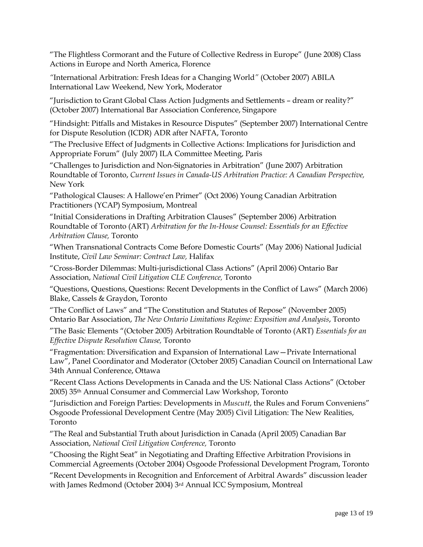"The Flightless Cormorant and the Future of Collective Redress in Europe" (June 2008) Class Actions in Europe and North America, Florence

*"*International Arbitration: Fresh Ideas for a Changing World*"* (October 2007) ABILA International Law Weekend, New York, Moderator

"Jurisdiction to Grant Global Class Action Judgments and Settlements – dream or reality?" (October 2007) International Bar Association Conference, Singapore

"Hindsight: Pitfalls and Mistakes in Resource Disputes" (September 2007) International Centre for Dispute Resolution (ICDR) ADR after NAFTA, Toronto

"The Preclusive Effect of Judgments in Collective Actions: Implications for Jurisdiction and Appropriate Forum" (July 2007) ILA Committee Meeting, Paris

"Challenges to Jurisdiction and Non-Signatories in Arbitration" (June 2007) Arbitration Roundtable of Toronto, *Current Issues in Canada-US Arbitration Practice: A Canadian Perspective,* New York

"Pathological Clauses: A Hallowe'en Primer" (Oct 2006) Young Canadian Arbitration Practitioners (YCAP) Symposium, Montreal

"Initial Considerations in Drafting Arbitration Clauses" (September 2006) Arbitration Roundtable of Toronto (ART) *Arbitration for the In-House Counsel: Essentials for an Effective Arbitration Clause,* Toronto

"When Transnational Contracts Come Before Domestic Courts" (May 2006) National Judicial Institute, *Civil Law Seminar: Contract Law,* Halifax

"Cross-Border Dilemmas: Multi-jurisdictional Class Actions" (April 2006) Ontario Bar Association, *National Civil Litigation CLE Conference,* Toronto

"Questions, Questions, Questions: Recent Developments in the Conflict of Laws" (March 2006) Blake, Cassels & Graydon, Toronto

"The Conflict of Laws" and "The Constitution and Statutes of Repose" (November 2005) Ontario Bar Association, *The New Ontario Limitations Regime: Exposition and Analysis*, Toronto

"The Basic Elements "(October 2005) Arbitration Roundtable of Toronto (ART) *Essentials for an Effective Dispute Resolution Clause,* Toronto

"Fragmentation: Diversification and Expansion of International Law—Private International Law", Panel Coordinator and Moderator (October 2005) Canadian Council on International Law 34th Annual Conference, Ottawa

"Recent Class Actions Developments in Canada and the US: National Class Actions" (October 2005) 35th Annual Consumer and Commercial Law Workshop, Toronto

"Jurisdiction and Foreign Parties: Developments in *Muscutt*, the Rules and Forum Conveniens" Osgoode Professional Development Centre (May 2005) Civil Litigation: The New Realities, Toronto

"The Real and Substantial Truth about Jurisdiction in Canada (April 2005) Canadian Bar Association, *National Civil Litigation Conference,* Toronto

"Choosing the Right Seat" in Negotiating and Drafting Effective Arbitration Provisions in Commercial Agreements (October 2004) Osgoode Professional Development Program, Toronto

"Recent Developments in Recognition and Enforcement of Arbitral Awards" discussion leader with James Redmond (October 2004) 3rd Annual ICC Symposium, Montreal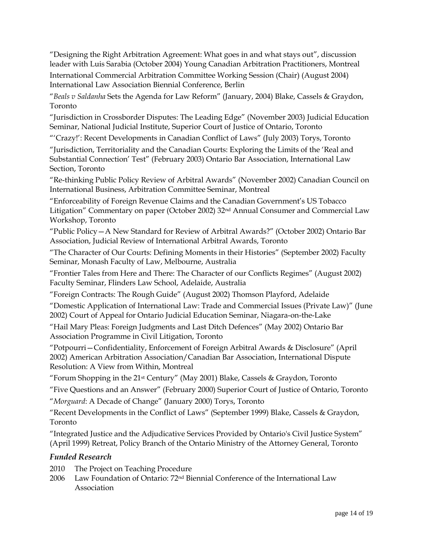"Designing the Right Arbitration Agreement: What goes in and what stays out", discussion leader with Luis Sarabia (October 2004) Young Canadian Arbitration Practitioners, Montreal

International Commercial Arbitration Committee Working Session (Chair) (August 2004) International Law Association Biennial Conference, Berlin

"*Beals v Saldanha* Sets the Agenda for Law Reform" (January, 2004) Blake, Cassels & Graydon, Toronto

"Jurisdiction in Crossborder Disputes: The Leading Edge" (November 2003) Judicial Education Seminar, National Judicial Institute, Superior Court of Justice of Ontario, Toronto

"'Crazy!': Recent Developments in Canadian Conflict of Laws" (July 2003) Torys, Toronto

"Jurisdiction, Territoriality and the Canadian Courts: Exploring the Limits of the 'Real and Substantial Connection' Test" (February 2003) Ontario Bar Association, International Law Section, Toronto

"Re-thinking Public Policy Review of Arbitral Awards" (November 2002) Canadian Council on International Business, Arbitration Committee Seminar, Montreal

"Enforceability of Foreign Revenue Claims and the Canadian Government's US Tobacco Litigation" Commentary on paper (October 2002) 32nd Annual Consumer and Commercial Law Workshop, Toronto

"Public Policy—A New Standard for Review of Arbitral Awards?" (October 2002) Ontario Bar Association, Judicial Review of International Arbitral Awards, Toronto

"The Character of Our Courts: Defining Moments in their Histories" (September 2002) Faculty Seminar, Monash Faculty of Law, Melbourne, Australia

"Frontier Tales from Here and There: The Character of our Conflicts Regimes" (August 2002) Faculty Seminar, Flinders Law School, Adelaide, Australia

"Foreign Contracts: The Rough Guide" (August 2002) Thomson Playford, Adelaide

"Domestic Application of International Law: Trade and Commercial Issues (Private Law)" (June 2002) Court of Appeal for Ontario Judicial Education Seminar, Niagara-on-the-Lake

"Hail Mary Pleas: Foreign Judgments and Last Ditch Defences" (May 2002) Ontario Bar Association Programme in Civil Litigation, Toronto

"Potpourri—Confidentiality, Enforcement of Foreign Arbitral Awards & Disclosure" (April 2002) American Arbitration Association/Canadian Bar Association, International Dispute Resolution: A View from Within, Montreal

"Forum Shopping in the 21st Century" (May 2001) Blake, Cassels & Graydon, Toronto

"Five Questions and an Answer" (February 2000) Superior Court of Justice of Ontario, Toronto

"*Morguard*: A Decade of Change" (January 2000) Torys, Toronto

"Recent Developments in the Conflict of Laws" (September 1999) Blake, Cassels & Graydon, Toronto

"Integrated Justice and the Adjudicative Services Provided by Ontario's Civil Justice System" (April 1999) Retreat, Policy Branch of the Ontario Ministry of the Attorney General, Toronto

#### *Funded Research*

- 2010 The Project on Teaching Procedure
- 2006 Law Foundation of Ontario: 72nd Biennial Conference of the International Law Association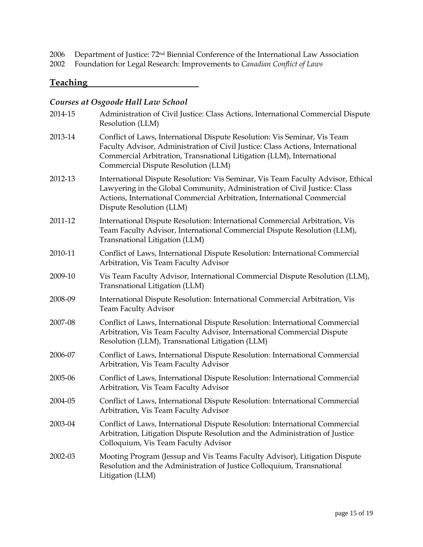2006 Department of Justice:  $72<sup>nd</sup>$  Biennial Conference of the International Law Association<br>2002 Foundation for Legal Research: Improvements to *Canadian Conflict of Laws* 

2002 Foundation for Legal Research: Improvements to *Canadian Conflict of Laws*

#### **Teaching**

## *Courses at Osgoode Hall Law School*

| 2014-15 | Administration of Civil Justice: Class Actions, International Commercial Dispute<br>Resolution (LLM)                                                                                                                                                                        |
|---------|-----------------------------------------------------------------------------------------------------------------------------------------------------------------------------------------------------------------------------------------------------------------------------|
| 2013-14 | Conflict of Laws, International Dispute Resolution: Vis Seminar, Vis Team<br>Faculty Advisor, Administration of Civil Justice: Class Actions, International<br>Commercial Arbitration, Transnational Litigation (LLM), International<br>Commercial Dispute Resolution (LLM) |
| 2012-13 | International Dispute Resolution: Vis Seminar, Vis Team Faculty Advisor, Ethical<br>Lawyering in the Global Community, Administration of Civil Justice: Class<br>Actions, International Commercial Arbitration, International Commercial<br>Dispute Resolution (LLM)        |
| 2011-12 | International Dispute Resolution: International Commercial Arbitration, Vis<br>Team Faculty Advisor, International Commercial Dispute Resolution (LLM),<br>Transnational Litigation (LLM)                                                                                   |
| 2010-11 | Conflict of Laws, International Dispute Resolution: International Commercial<br>Arbitration, Vis Team Faculty Advisor                                                                                                                                                       |
| 2009-10 | Vis Team Faculty Advisor, International Commercial Dispute Resolution (LLM),<br>Transnational Litigation (LLM)                                                                                                                                                              |
| 2008-09 | International Dispute Resolution: International Commercial Arbitration, Vis<br><b>Team Faculty Advisor</b>                                                                                                                                                                  |
| 2007-08 | Conflict of Laws, International Dispute Resolution: International Commercial<br>Arbitration, Vis Team Faculty Advisor, International Commercial Dispute<br>Resolution (LLM), Transnational Litigation (LLM)                                                                 |
| 2006-07 | Conflict of Laws, International Dispute Resolution: International Commercial<br>Arbitration, Vis Team Faculty Advisor                                                                                                                                                       |
| 2005-06 | Conflict of Laws, International Dispute Resolution: International Commercial<br>Arbitration, Vis Team Faculty Advisor                                                                                                                                                       |
| 2004-05 | Conflict of Laws, International Dispute Resolution: International Commercial<br>Arbitration, Vis Team Faculty Advisor                                                                                                                                                       |
| 2003-04 | Conflict of Laws, International Dispute Resolution: International Commercial<br>Arbitration, Litigation Dispute Resolution and the Administration of Justice<br>Colloquium, Vis Team Faculty Advisor                                                                        |
| 2002-03 | Mooting Program (Jessup and Vis Teams Faculty Advisor), Litigation Dispute<br>Resolution and the Administration of Justice Colloquium, Transnational<br>Litigation (LLM)                                                                                                    |
|         |                                                                                                                                                                                                                                                                             |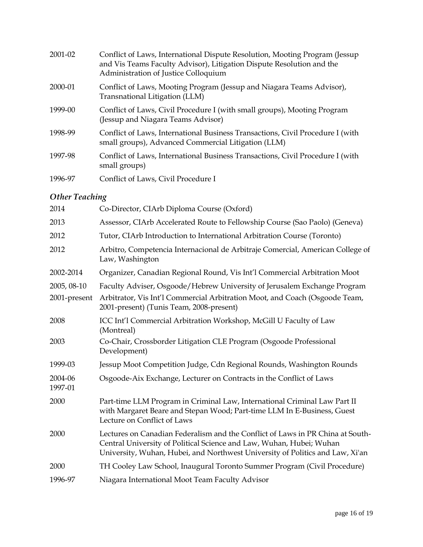| 2001-02 | Conflict of Laws, International Dispute Resolution, Mooting Program (Jessup)<br>and Vis Teams Faculty Advisor), Litigation Dispute Resolution and the<br>Administration of Justice Colloquium |
|---------|-----------------------------------------------------------------------------------------------------------------------------------------------------------------------------------------------|
| 2000-01 | Conflict of Laws, Mooting Program (Jessup and Niagara Teams Advisor),<br>Transnational Litigation (LLM)                                                                                       |
| 1999-00 | Conflict of Laws, Civil Procedure I (with small groups), Mooting Program<br>(Jessup and Niagara Teams Advisor)                                                                                |
| 1998-99 | Conflict of Laws, International Business Transactions, Civil Procedure I (with<br>small groups), Advanced Commercial Litigation (LLM)                                                         |
| 1997-98 | Conflict of Laws, International Business Transactions, Civil Procedure I (with<br>small groups)                                                                                               |
| 1996-97 | Conflict of Laws, Civil Procedure I                                                                                                                                                           |

## *Other Teaching*

| 2014                        | Co-Director, CIArb Diploma Course (Oxford)                                                                                                                                                                                              |
|-----------------------------|-----------------------------------------------------------------------------------------------------------------------------------------------------------------------------------------------------------------------------------------|
| 2013                        | Assessor, CIArb Accelerated Route to Fellowship Course (Sao Paolo) (Geneva)                                                                                                                                                             |
| 2012                        | Tutor, CIArb Introduction to International Arbitration Course (Toronto)                                                                                                                                                                 |
| 2012                        | Arbitro, Competencia Internacional de Arbitraje Comercial, American College of<br>Law, Washington                                                                                                                                       |
| 2002-2014                   | Organizer, Canadian Regional Round, Vis Int'l Commercial Arbitration Moot                                                                                                                                                               |
| 2005, 08-10<br>2001-present | Faculty Adviser, Osgoode/Hebrew University of Jerusalem Exchange Program<br>Arbitrator, Vis Int'l Commercial Arbitration Moot, and Coach (Osgoode Team,<br>2001-present) (Tunis Team, 2008-present)                                     |
| 2008                        | ICC Int'l Commercial Arbitration Workshop, McGill U Faculty of Law<br>(Montreal)                                                                                                                                                        |
| 2003                        | Co-Chair, Crossborder Litigation CLE Program (Osgoode Professional<br>Development)                                                                                                                                                      |
| 1999-03                     | Jessup Moot Competition Judge, Cdn Regional Rounds, Washington Rounds                                                                                                                                                                   |
| 2004-06<br>1997-01          | Osgoode-Aix Exchange, Lecturer on Contracts in the Conflict of Laws                                                                                                                                                                     |
| 2000                        | Part-time LLM Program in Criminal Law, International Criminal Law Part II<br>with Margaret Beare and Stepan Wood; Part-time LLM In E-Business, Guest<br>Lecture on Conflict of Laws                                                     |
| 2000                        | Lectures on Canadian Federalism and the Conflict of Laws in PR China at South-<br>Central University of Political Science and Law, Wuhan, Hubei; Wuhan<br>University, Wuhan, Hubei, and Northwest University of Politics and Law, Xi'an |
| 2000                        | TH Cooley Law School, Inaugural Toronto Summer Program (Civil Procedure)                                                                                                                                                                |
| 1996-97                     | Niagara International Moot Team Faculty Advisor                                                                                                                                                                                         |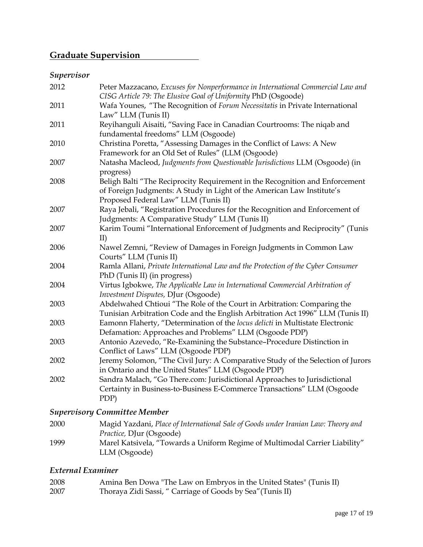## **Graduate Supervision**

## *Supervisor*

| 2012 | Peter Mazzacano, Excuses for Nonperformance in International Commercial Law and<br>CISG Article 79: The Elusive Goal of Uniformity PhD (Osgoode)                                               |
|------|------------------------------------------------------------------------------------------------------------------------------------------------------------------------------------------------|
| 2011 | Wafa Younes, "The Recognition of Forum Necessitatis in Private International<br>Law" LLM (Tunis II)                                                                                            |
| 2011 | Reyihanguli Aisaiti, "Saving Face in Canadian Courtrooms: The niqab and<br>fundamental freedoms" LLM (Osgoode)                                                                                 |
| 2010 | Christina Poretta, "Assessing Damages in the Conflict of Laws: A New<br>Framework for an Old Set of Rules" (LLM (Osgoode)                                                                      |
| 2007 | Natasha Macleod, Judgments from Questionable Jurisdictions LLM (Osgoode) (in<br>progress)                                                                                                      |
| 2008 | Beligh Balti "The Reciprocity Requirement in the Recognition and Enforcement<br>of Foreign Judgments: A Study in Light of the American Law Institute's<br>Proposed Federal Law" LLM (Tunis II) |
| 2007 | Raya Jebali, "Registration Procedures for the Recognition and Enforcement of<br>Judgments: A Comparative Study" LLM (Tunis II)                                                                 |
| 2007 | Karim Toumi "International Enforcement of Judgments and Reciprocity" (Tunis<br>II)                                                                                                             |
| 2006 | Nawel Zemni, "Review of Damages in Foreign Judgments in Common Law<br>Courts" LLM (Tunis II)                                                                                                   |
| 2004 | Ramla Allani, Private International Law and the Protection of the Cyber Consumer<br>PhD (Tunis II) (in progress)                                                                               |
| 2004 | Virtus Igbokwe, The Applicable Law in International Commercial Arbitration of<br>Investment Disputes, DJur (Osgoode)                                                                           |
| 2003 | Abdelwahed Chtioui "The Role of the Court in Arbitration: Comparing the<br>Tunisian Arbitration Code and the English Arbitration Act 1996" LLM (Tunis II)                                      |
| 2003 | Eamonn Flaherty, "Determination of the locus delicti in Multistate Electronic<br>Defamation: Approaches and Problems" LLM (Osgoode PDP)                                                        |
| 2003 | Antonio Azevedo, "Re-Examining the Substance-Procedure Distinction in<br>Conflict of Laws" LLM (Osgoode PDP)                                                                                   |
| 2002 | Jeremy Solomon, "The Civil Jury: A Comparative Study of the Selection of Jurors<br>in Ontario and the United States" LLM (Osgoode PDP)                                                         |
| 2002 | Sandra Malach, "Go There.com: Jurisdictional Approaches to Jurisdictional<br>Certainty in Business-to-Business E-Commerce Transactions" LLM (Osgoode<br>PDP)                                   |

## *Supervisory Committee Member*

| 2000 | Magid Yazdani, Place of International Sale of Goods under Iranian Law: Theory and |
|------|-----------------------------------------------------------------------------------|
|      | <i>Practice, DJur (Osgoode)</i>                                                   |
| 1999 | Marel Katsivela, "Towards a Uniform Regime of Multimodal Carrier Liability"       |
|      | LLM (Osgoode)                                                                     |

## *External Examiner*

| 2008 | Amina Ben Dowa "The Law on Embryos in the United States" (Tunis II) |
|------|---------------------------------------------------------------------|
| 2007 | Thoraya Zidi Sassi, " Carriage of Goods by Sea" (Tunis II)          |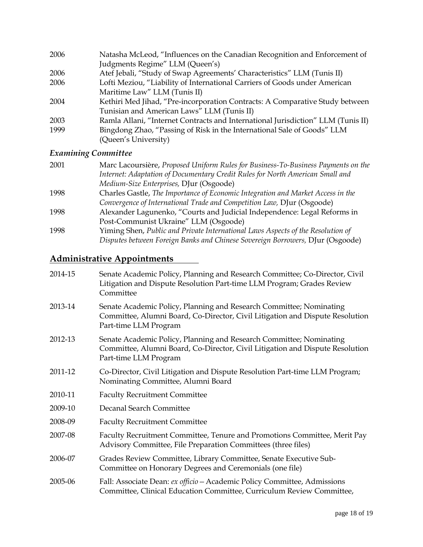| 2006 | Natasha McLeod, "Influences on the Canadian Recognition and Enforcement of       |
|------|----------------------------------------------------------------------------------|
|      | Judgments Regime" LLM (Queen's)                                                  |
| 2006 | Atef Jebali, "Study of Swap Agreements' Characteristics" LLM (Tunis II)          |
| 2006 | Lofti Meziou, "Liability of International Carriers of Goods under American       |
|      | Maritime Law" LLM (Tunis II)                                                     |
| 2004 | Kethiri Med Jihad, "Pre-incorporation Contracts: A Comparative Study between     |
|      | Tunisian and American Laws" LLM (Tunis II)                                       |
| 2003 | Ramla Allani, "Internet Contracts and International Jurisdiction" LLM (Tunis II) |
| 1999 | Bingdong Zhao, "Passing of Risk in the International Sale of Goods" LLM          |
|      | (Queen's University)                                                             |

## *Examining Committee*

| 2001 | Marc Lacoursière, Proposed Uniform Rules for Business-To-Business Payments on the |
|------|-----------------------------------------------------------------------------------|
|      | Internet: Adaptation of Documentary Credit Rules for North American Small and     |
|      | Medium-Size Enterprises, DJur (Osgoode)                                           |
| 1998 | Charles Gastle, The Importance of Economic Integration and Market Access in the   |
|      | Convergence of International Trade and Competition Law, DJur (Osgoode)            |
| 1998 | Alexander Lagunenko, "Courts and Judicial Independence: Legal Reforms in          |
|      | Post-Communist Ukraine" LLM (Osgoode)                                             |
| 1998 | Yiming Shen, Public and Private International Laws Aspects of the Resolution of   |
|      | Disputes between Foreign Banks and Chinese Sovereign Borrowers, DJur (Osgoode)    |

# **Administrative Appointments**

| 2014-15 | Senate Academic Policy, Planning and Research Committee; Co-Director, Civil<br>Litigation and Dispute Resolution Part-time LLM Program; Grades Review<br>Committee            |
|---------|-------------------------------------------------------------------------------------------------------------------------------------------------------------------------------|
| 2013-14 | Senate Academic Policy, Planning and Research Committee; Nominating<br>Committee, Alumni Board, Co-Director, Civil Litigation and Dispute Resolution<br>Part-time LLM Program |
| 2012-13 | Senate Academic Policy, Planning and Research Committee; Nominating<br>Committee, Alumni Board, Co-Director, Civil Litigation and Dispute Resolution<br>Part-time LLM Program |
| 2011-12 | Co-Director, Civil Litigation and Dispute Resolution Part-time LLM Program;<br>Nominating Committee, Alumni Board                                                             |
| 2010-11 | <b>Faculty Recruitment Committee</b>                                                                                                                                          |
| 2009-10 | Decanal Search Committee                                                                                                                                                      |
| 2008-09 | <b>Faculty Recruitment Committee</b>                                                                                                                                          |
| 2007-08 | Faculty Recruitment Committee, Tenure and Promotions Committee, Merit Pay<br>Advisory Committee, File Preparation Committees (three files)                                    |
| 2006-07 | Grades Review Committee, Library Committee, Senate Executive Sub-<br>Committee on Honorary Degrees and Ceremonials (one file)                                                 |
| 2005-06 | Fall: Associate Dean: ex officio - Academic Policy Committee, Admissions<br>Committee, Clinical Education Committee, Curriculum Review Committee,                             |